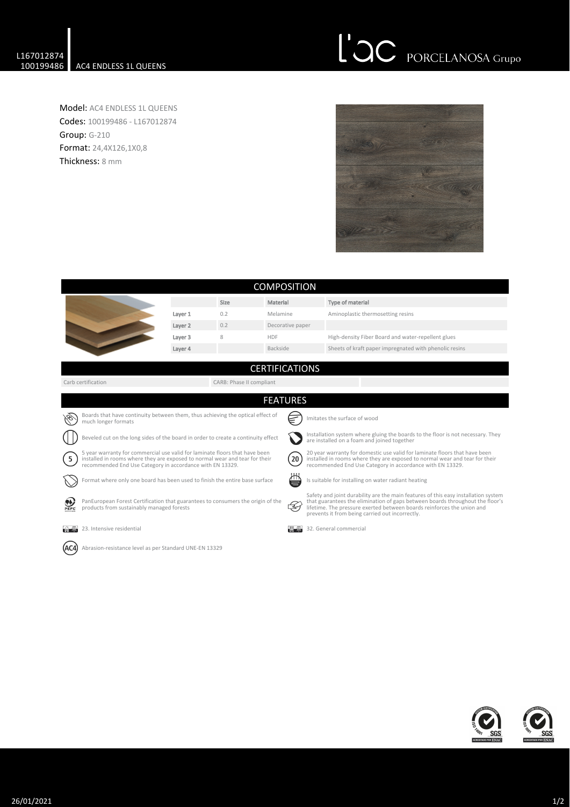## L'OC PORCELANOSA Grupo

Model: AC4 ENDLESS 1L QUEENS Codes: 100199486 - L167012874 Group: G-210 Format: 24,4X126,1X0,8 Thickness: 8 mm



| <b>COMPOSITION</b>                                                                                                                                                                                                                          |                                                                                                                              |         |      |                                                                                                                                |                                                                                                                                                                                                                        |                                                                                                                                                                                                                                                                                                  |  |  |  |
|---------------------------------------------------------------------------------------------------------------------------------------------------------------------------------------------------------------------------------------------|------------------------------------------------------------------------------------------------------------------------------|---------|------|--------------------------------------------------------------------------------------------------------------------------------|------------------------------------------------------------------------------------------------------------------------------------------------------------------------------------------------------------------------|--------------------------------------------------------------------------------------------------------------------------------------------------------------------------------------------------------------------------------------------------------------------------------------------------|--|--|--|
|                                                                                                                                                                                                                                             |                                                                                                                              |         | Size | Material                                                                                                                       |                                                                                                                                                                                                                        | Type of material                                                                                                                                                                                                                                                                                 |  |  |  |
|                                                                                                                                                                                                                                             |                                                                                                                              | Layer 1 | 0.2  | Melamine                                                                                                                       |                                                                                                                                                                                                                        | Aminoplastic thermosetting resins                                                                                                                                                                                                                                                                |  |  |  |
|                                                                                                                                                                                                                                             |                                                                                                                              | Layer 2 | 0.2  | Decorative paper                                                                                                               |                                                                                                                                                                                                                        |                                                                                                                                                                                                                                                                                                  |  |  |  |
|                                                                                                                                                                                                                                             |                                                                                                                              | Layer 3 | 8    | <b>HDF</b>                                                                                                                     |                                                                                                                                                                                                                        | High-density Fiber Board and water-repellent glues                                                                                                                                                                                                                                               |  |  |  |
|                                                                                                                                                                                                                                             |                                                                                                                              | Layer 4 |      | Backside                                                                                                                       |                                                                                                                                                                                                                        | Sheets of kraft paper impregnated with phenolic resins                                                                                                                                                                                                                                           |  |  |  |
|                                                                                                                                                                                                                                             |                                                                                                                              |         |      | <b>CERTIFICATIONS</b>                                                                                                          |                                                                                                                                                                                                                        |                                                                                                                                                                                                                                                                                                  |  |  |  |
| Carb certification<br>CARB: Phase II compliant                                                                                                                                                                                              |                                                                                                                              |         |      |                                                                                                                                |                                                                                                                                                                                                                        |                                                                                                                                                                                                                                                                                                  |  |  |  |
|                                                                                                                                                                                                                                             | <b>FEATURES</b>                                                                                                              |         |      |                                                                                                                                |                                                                                                                                                                                                                        |                                                                                                                                                                                                                                                                                                  |  |  |  |
| Boards that have continuity between them, thus achieving the optical effect of<br>Imitates the surface of wood<br>much longer formats                                                                                                       |                                                                                                                              |         |      |                                                                                                                                |                                                                                                                                                                                                                        |                                                                                                                                                                                                                                                                                                  |  |  |  |
| Beveled cut on the long sides of the board in order to create a continuity effect                                                                                                                                                           |                                                                                                                              |         |      | Installation system where gluing the boards to the floor is not necessary. They<br>are installed on a foam and joined together |                                                                                                                                                                                                                        |                                                                                                                                                                                                                                                                                                  |  |  |  |
| 5 year warranty for commercial use valid for laminate floors that have been<br>$\left(5\right)$<br>installed in rooms where they are exposed to normal wear and tear for their<br>recommended End Use Category in accordance with EN 13329. |                                                                                                                              |         |      | (20)                                                                                                                           | 20 year warranty for domestic use valid for laminate floors that have been<br>installed in rooms where they are exposed to normal wear and tear for their<br>recommended End Use Category in accordance with EN 13329. |                                                                                                                                                                                                                                                                                                  |  |  |  |
|                                                                                                                                                                                                                                             | Format where only one board has been used to finish the entire base surface                                                  |         |      | ∕⊓⊓า                                                                                                                           |                                                                                                                                                                                                                        | Is suitable for installing on water radiant heating                                                                                                                                                                                                                                              |  |  |  |
| PEFC                                                                                                                                                                                                                                        | PanEuropean Forest Certification that guarantees to consumers the origin of the<br>products from sustainably managed forests |         |      |                                                                                                                                | Z                                                                                                                                                                                                                      | Safety and joint durability are the main features of this easy installation system<br>that guarantees the elimination of gaps between boards throughout the floor's<br>lifetime. The pressure exerted between boards reinforces the union and<br>prevents it from being carried out incorrectly. |  |  |  |
| فتتلوزن                                                                                                                                                                                                                                     | 23. Intensive residential                                                                                                    |         |      |                                                                                                                                |                                                                                                                                                                                                                        | 32. General commercial                                                                                                                                                                                                                                                                           |  |  |  |
| Abrasion-resistance level as per Standard UNE-EN 13329                                                                                                                                                                                      |                                                                                                                              |         |      |                                                                                                                                |                                                                                                                                                                                                                        |                                                                                                                                                                                                                                                                                                  |  |  |  |